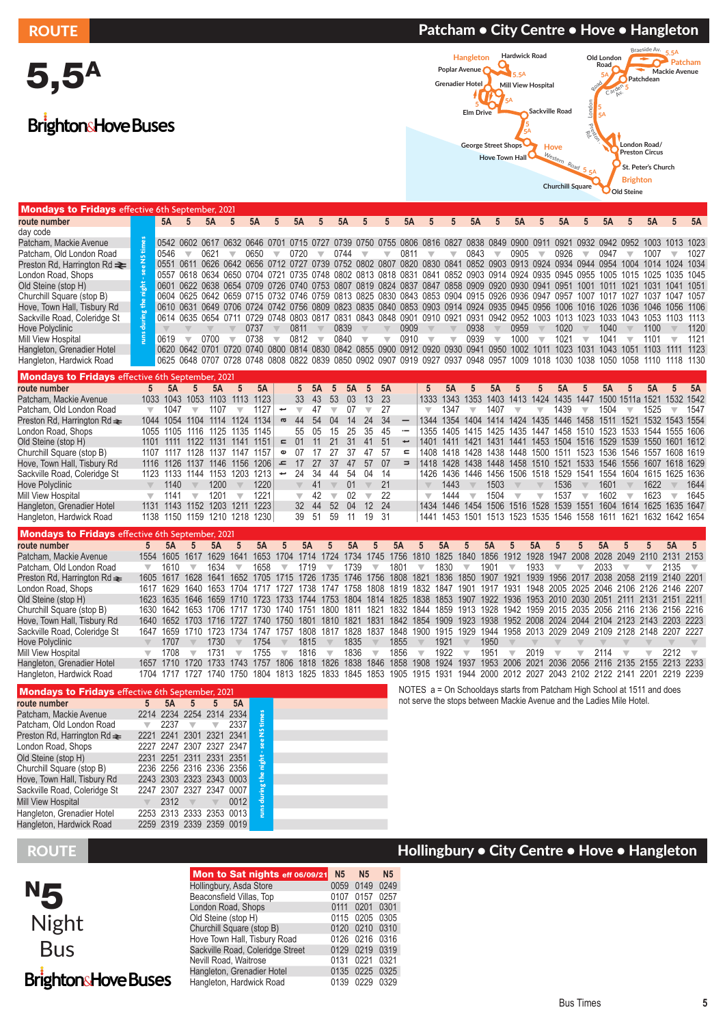5,5A

BrightonsHove Buses

### ROUTE PATCHE PATCHER PATCHER FOUTE PATCHER FOUTE PATCHER PATCHER PATCHER PATCHER PATCHER PATCHER PATCHER PATCH



| <b>Mondays to Fridays</b> effective 6th September, 2021 |                          |           |                                                                                                                              |                         |                          |           |                          |                         |                          |                               |                          |                          |                          |                                                                                                          |                                    |                         |                          |                          |                          |                          |                                                                  |           |                                |                |                         |                          |
|---------------------------------------------------------|--------------------------|-----------|------------------------------------------------------------------------------------------------------------------------------|-------------------------|--------------------------|-----------|--------------------------|-------------------------|--------------------------|-------------------------------|--------------------------|--------------------------|--------------------------|----------------------------------------------------------------------------------------------------------|------------------------------------|-------------------------|--------------------------|--------------------------|--------------------------|--------------------------|------------------------------------------------------------------|-----------|--------------------------------|----------------|-------------------------|--------------------------|
| route number                                            |                          | 5A        | 5                                                                                                                            | 5A                      | 5                        | <b>5A</b> | 5                        | 5Α                      |                          | 5Α                            |                          |                          |                          |                                                                                                          |                                    | 5Α                      |                          |                          |                          |                          |                                                                  |           |                                | 5A             |                         |                          |
| day code                                                |                          |           |                                                                                                                              |                         |                          |           |                          |                         |                          |                               |                          |                          |                          |                                                                                                          |                                    |                         |                          |                          |                          |                          |                                                                  |           |                                |                |                         |                          |
| Patcham, Mackie Avenue                                  |                          |           | 0542 0602 0617 0632 0646 0701                                                                                                |                         |                          |           |                          |                         |                          |                               |                          |                          |                          | 0715 0727 0739 0750 0755 0806 0816 0827 0838 0849                                                        |                                    |                         |                          |                          | 0900 0911                | 0921                     |                                                                  |           | 0932 0942 0952 1003 1013       |                |                         | 1023                     |
| Patcham, Old London Road                                |                          | 0546      | $\overline{\mathbf{v}}$                                                                                                      | 0621                    | ▼                        | 0650      | $\overline{\phantom{a}}$ | 0720                    | $\overline{\phantom{a}}$ | 0744                          | $\overline{\mathbf{v}}$  | $\overline{\phantom{a}}$ | 0811                     | $\overline{\phantom{a}}$                                                                                 | $\overline{\mathbb{V}}$            | 0843                    | $\overline{\phantom{a}}$ | 0905                     | $\overline{\mathbf{v}}$  | 0926                     | $\overline{\phantom{a}}$                                         | 0947      |                                | 1007           | $\overline{\mathbf{v}}$ | 1027                     |
| Preston Rd, Harrington Rd $\equiv$                      | $\ddot{z}$               |           | 0551 0611 0626 0642 0656 0712 0727 0739 0752 0802 0807 0820 0830 0841 0852 0903 0913 0924 0934 0944 0954                     |                         |                          |           |                          |                         |                          |                               |                          |                          |                          |                                                                                                          |                                    |                         |                          |                          |                          |                          |                                                                  |           |                                | 1004 1014 1024 |                         | 1034                     |
| London Road, Shops                                      |                          |           | 0557 0618 0634 0650 0704 0721 0735 0748 0802 0813 0818 0831 0841 0852 0903 0914 0924 0935 0945 0955 1005 1015 1025 1035 1045 |                         |                          |           |                          |                         |                          |                               |                          |                          |                          |                                                                                                          |                                    |                         |                          |                          |                          |                          |                                                                  |           |                                |                |                         |                          |
| Old Steine (stop H)                                     |                          |           | 0601 0622 0638 0654 0709 0726 0740 0753 0807 0819 0824 0837 0847 0858 0909 0920 0930 0941 0951 1001 1011 1021 1031 1041 1051 |                         |                          |           |                          |                         |                          |                               |                          |                          |                          |                                                                                                          |                                    |                         |                          |                          |                          |                          |                                                                  |           |                                |                |                         |                          |
| Churchill Square (stop B)                               |                          |           | 0604 0625 0642 0659 0715 0732 0746 0759 0813 0825 0830 0843 0853 0904 0915 0926 0936 0947 0957 1007 1017 1027 1037 1047 1057 |                         |                          |           |                          |                         |                          |                               |                          |                          |                          |                                                                                                          |                                    |                         |                          |                          |                          |                          |                                                                  |           |                                |                |                         |                          |
| Hove, Town Hall, Tisbury Rd                             | the                      |           | 0610 0631 0649 0706 0724 0742 0756 0809 0823 0835 0840 0853 0903 0914 0924 0935 0945 0956 1006 1016 1026 1036 1046 1056      |                         |                          |           |                          |                         |                          |                               |                          |                          |                          |                                                                                                          |                                    |                         |                          |                          |                          |                          |                                                                  |           |                                |                |                         | 1106                     |
| Sackville Road, Coleridge St                            |                          |           | 0614 0635 0654 0711 0729 0748 0803 0817 0831 0843 0848 0901 0910 0921 0931 0942 0952 1003 1013 1023 1033 1043 1053 1103      |                         |                          |           |                          |                         |                          |                               |                          |                          |                          |                                                                                                          |                                    |                         |                          |                          |                          |                          |                                                                  |           |                                |                |                         | 1113                     |
| Hove Polyclinic                                         |                          |           |                                                                                                                              |                         |                          | 0737      |                          | 0811                    |                          | 0839                          |                          |                          | 0909                     |                                                                                                          |                                    | 0938                    |                          | 0959                     |                          | 1020                     |                                                                  | 1040      |                                | 1100           |                         | 1120                     |
| <b>Mill View Hospital</b>                               |                          | 0619      | $\overline{\phantom{a}}$                                                                                                     | 0700                    | $\overline{\phantom{a}}$ | 0738      | ┳                        | 0812                    | $\overline{\phantom{a}}$ | 0840                          | $\overline{\phantom{a}}$ | ₩                        | 0910                     | $\overline{\phantom{a}}$                                                                                 | $\overline{\phantom{a}}$           | 0939                    | $\overline{\phantom{a}}$ | 1000                     | $\overline{\phantom{a}}$ | 1021                     | $\overline{\phantom{a}}$                                         | 1041      | $\overline{\phantom{a}}$       | 1101           | w                       | 1121                     |
| Hangleton, Grenadier Hotel                              |                          |           | 0620 0642 0701 0720 0740 0800 0814 0830 0842 0855 0900 0912 0920 0930 0941 0950 1002 1011 1023 1031 1043 1051 1103 1111      |                         |                          |           |                          |                         |                          |                               |                          |                          |                          |                                                                                                          |                                    |                         |                          |                          |                          |                          |                                                                  |           |                                |                |                         | 1123                     |
| Hangleton, Hardwick Road                                |                          |           | 0625 0648 0707 0728 0748 0808 0822 0839 0850 0902 0907 0919 0927 0937 0948 0957 1009 1018 1030 1038 1050 1058 1110 1118 1130 |                         |                          |           |                          |                         |                          |                               |                          |                          |                          |                                                                                                          |                                    |                         |                          |                          |                          |                          |                                                                  |           |                                |                |                         |                          |
| <b>Mondays to Fridays</b> effective 6th September, 2021 |                          |           |                                                                                                                              |                         |                          |           |                          |                         |                          |                               |                          |                          |                          |                                                                                                          |                                    |                         |                          |                          |                          |                          |                                                                  |           |                                |                |                         |                          |
| route number                                            | 5                        | 5A        | 5                                                                                                                            | 5A                      | 5                        | 5A        |                          | $5\phantom{.0}$         | 5A                       | 5<br>5A                       | 5                        | 5A                       |                          | $5\phantom{.0}$                                                                                          | 5A                                 |                         | 5A                       | 5                        | 5                        | 5A                       | 5                                                                | 5A        |                                | 5A             |                         | 5A                       |
| Patcham, Mackie Avenue                                  |                          |           | 1033 1043 1053 1103 1113                                                                                                     |                         |                          | 1123      |                          | 33                      | 43                       | 03<br>53                      | 13                       | 23                       |                          |                                                                                                          | 1333 1343 1353 1403 1413 1424 1435 |                         |                          |                          |                          |                          |                                                                  |           | 1447 1500 1511a 1521 1532 1542 |                |                         |                          |
| Patcham, Old London Road                                | $\overline{\phantom{a}}$ | 1047      | $\overline{\mathbf{v}}$                                                                                                      | 1107                    | $\overline{\mathbf{v}}$  | 1127      | پ                        | $\overline{\mathbf{v}}$ | 47                       | 07<br>$\overline{\mathbf{v}}$ | $\overline{\mathbb{V}}$  | 27                       |                          | $\overline{\mathbf{v}}$                                                                                  | 1347                               | $\overline{\mathbf{v}}$ | 1407                     | $\overline{\mathbb{V}}$  | $\overline{\mathbb{V}}$  | 1439                     | $\overline{\mathbb{V}}$                                          | 1504      | $\overline{\mathbf{v}}$        | 1525           | $\overline{\mathbf{v}}$ | 1547                     |
| Preston Rd, Harrington Rd $\equiv$                      |                          |           | 1044 1054 1104 1114 1124                                                                                                     |                         |                          | 1134      | a                        | 44                      | 54                       | 04<br>14                      | 24                       | 34                       | $\overline{\phantom{m}}$ |                                                                                                          | 1344 1354 1404 1414 1424           |                         |                          |                          |                          |                          | 1435 1446 1458 1511 1521 1532 1543 1554                          |           |                                |                |                         |                          |
| London Road, Shops                                      |                          |           | 1055 1105 1116 1125 1135                                                                                                     |                         |                          | 1145      |                          | 55                      | 05                       | 25<br>15                      | 35                       | 45                       | $\overline{\phantom{a}}$ | 1355                                                                                                     |                                    |                         |                          |                          |                          |                          | 1405 1415 1425 1435 1447 1458 1510 1523 1533 1544 1555 1606      |           |                                |                |                         |                          |
| Old Steine (stop H)                                     |                          |           | 1101 1111 1122 1131                                                                                                          |                         | 1141                     | 1151      | $\blacksquare$           | 01                      | 11                       | 31<br>21                      | 41                       | 51                       | $\overline{\phantom{a}}$ | 1401                                                                                                     |                                    |                         |                          |                          |                          |                          | 1411 1421 1431 1441 1453 1504 1516 1529 1539 1550 1601 1612      |           |                                |                |                         |                          |
| Churchill Square (stop B)                               |                          |           | 1107 1117 1128 1137 1147 1157                                                                                                |                         |                          |           | Ф                        | 07                      | 17                       | 27<br>37                      | 47                       | 57                       | $\blacksquare$           |                                                                                                          |                                    |                         |                          |                          |                          |                          | 1408 1418 1428 1438 1448 1500 1511 1523 1536 1546 1557 1608 1619 |           |                                |                |                         |                          |
| Hove, Town Hall, Tisbury Rd                             |                          |           | 1116 1126 1137 1146 1156                                                                                                     |                         |                          | 1206      | $\mathbf{r}$             | 17                      | 27                       | 37<br>47                      | 57                       | 07                       | $\Rightarrow$            |                                                                                                          |                                    |                         |                          |                          |                          |                          | 1418 1428 1438 1448 1458 1510 1521 1533 1546 1556 1607 1618 1629 |           |                                |                |                         |                          |
| Sackville Road, Coleridge St                            |                          |           | 1123 1133 1144 1153 1203 1213                                                                                                |                         |                          |           | پ                        | 24                      | 34                       | 54<br>44                      | 04                       | 14                       |                          |                                                                                                          |                                    |                         |                          |                          |                          |                          | 1426 1436 1446 1456 1506 1518 1529 1541 1554 1604 1615 1625 1636 |           |                                |                |                         |                          |
| <b>Hove Polyclinic</b>                                  |                          | 1140      |                                                                                                                              | 1200                    |                          | 1220      |                          | ▼                       | 41                       | 01                            |                          | 21                       |                          |                                                                                                          | 1443                               |                         | 1503                     |                          |                          | 1536                     |                                                                  | 1601      |                                | 1622           |                         | 1644                     |
| Mill View Hospital                                      | $\overline{\mathbb{V}}$  | 1141      | $\overline{\mathbf{v}}$                                                                                                      | 1201                    | $\overline{\mathbf{v}}$  | 1221      |                          | $\overline{\mathbb{V}}$ | 42                       | 02<br>$\overline{\mathbf{v}}$ | $\overline{\mathbf{v}}$  | 22                       |                          | $\overline{\mathbf{v}}$                                                                                  | 1444                               | $\overline{\mathbb{V}}$ | 1504                     | $\overline{\mathbb{V}}$  | $\overline{\mathbb{V}}$  | 1537                     | $\overline{\mathbf{v}}$                                          | 1602      | $\overline{\mathbf{v}}$        | 1623           | $\overline{\mathbb{V}}$ | 1645                     |
| Hangleton, Grenadier Hotel                              |                          |           | 1131 1143 1152 1203 1211 1223                                                                                                |                         |                          |           |                          | 32                      | 44                       | 52<br>04                      | 12                       | 24                       |                          |                                                                                                          | 1434 1446                          |                         | 1454 1506 1516           |                          | 1528 1539                |                          |                                                                  |           | 1551 1604 1614 1625 1635 1647  |                |                         |                          |
| Hangleton, Hardwick Road                                |                          |           | 1138 1150 1159 1210 1218 1230                                                                                                |                         |                          |           |                          | 39 51                   |                          | 59<br>11                      | 19                       | 31                       |                          |                                                                                                          |                                    |                         |                          |                          |                          |                          | 1441 1453 1501 1513 1523 1535 1546 1558 1611 1621 1632 1642 1654 |           |                                |                |                         |                          |
| <b>Mondays to Fridays</b> effective 6th September, 2021 |                          |           |                                                                                                                              |                         |                          |           |                          |                         |                          |                               |                          |                          |                          |                                                                                                          |                                    |                         |                          |                          |                          |                          |                                                                  |           |                                |                |                         |                          |
| route number                                            | 5                        | 5A        | 5                                                                                                                            | <b>5A</b>               | $5\phantom{.0}$          | 5A        | $5\phantom{.0}$          | 5A                      | 5                        |                               | 5A                       | 5                        | <b>5A</b>                | 5                                                                                                        | 5A                                 | 5                       | 5A                       | 5                        | 5A                       | 5                        | 5                                                                | <b>5A</b> | 5                              | 5              | 5A                      | $5\phantom{.0}$          |
| Patcham, Mackie Avenue                                  |                          | 1554 1605 |                                                                                                                              | 1617 1629               | 1641                     |           | 1653 1704                | 1714                    | 1724                     |                               | 1734                     | 1745 1756                |                          | 1810                                                                                                     | 1825                               | 1840                    | 1856                     | 1912                     | 1928                     | 1947                     | 2008                                                             | 2028      | 2049                           | 2110 2131      |                         | 2153                     |
| Patcham, Old London Road                                | $\overline{\mathbf{v}}$  | 1610      | $\overline{\phantom{a}}$                                                                                                     | 1634                    |                          | 1658      | $\overline{\phantom{a}}$ | 1719                    |                          |                               | 1739                     | $\overline{\phantom{a}}$ | 1801                     | $\overline{\mathbf{v}}$                                                                                  | 1830                               | $\overline{\mathbf{v}}$ | 1901                     | $\overline{\phantom{a}}$ | 1933                     |                          | w                                                                | 2033      |                                |                | 2135                    | $\overline{\mathbf{v}}$  |
| Preston Rd, Harrington Rd $\equiv$                      | 1605                     |           | 1617 1628                                                                                                                    |                         |                          |           |                          |                         |                          |                               |                          |                          |                          | 1641 1652 1705 1715 1726 1735 1746 1756 1808 1821 1836 1850 1907 1921 1939 1956 2017 2038 2058 2119 2140 |                                    |                         |                          |                          |                          |                          |                                                                  |           |                                |                |                         | 2201                     |
| London Road, Shops                                      |                          | 1617 1629 | 1640                                                                                                                         |                         |                          |           |                          |                         |                          |                               |                          |                          |                          | 1653 1704 1717 1727 1738 1747 1758 1808 1819 1832 1847 1901 1917 1931 1948 2005 2025 2046 2106 2126 2146 |                                    |                         |                          |                          |                          |                          |                                                                  |           |                                |                |                         | 2207                     |
| Old Steine (stop H)                                     | 1623                     |           | 1635 1646                                                                                                                    |                         | 1659 1710                |           |                          |                         |                          |                               |                          |                          |                          | 1723 1733 1744 1753 1804 1814 1825 1838 1853 1907 1922 1936                                              |                                    |                         |                          |                          |                          |                          | 1953 2010 2030 2051 2111 2131 2151                               |           |                                |                |                         | 2211                     |
| Churchill Square (stop B)                               | 1630                     |           | 1642 1653 1706 1717 1730 1740 1751 1800 1811 1821 1832 1844 1859 1913 1928 1942 1959 2015 2035 2056 2116 2136 2156 2216      |                         |                          |           |                          |                         |                          |                               |                          |                          |                          |                                                                                                          |                                    |                         |                          |                          |                          |                          |                                                                  |           |                                |                |                         |                          |
| Hove, Town Hall, Tisbury Rd                             | 1640                     |           | 1652 1703 1716 1727 1740 1750 1801 1810 1821 1831 1842 1854 1909 1923 1938 1952 2008 2024 2044 2104 2123 2143 2203           |                         |                          |           |                          |                         |                          |                               |                          |                          |                          |                                                                                                          |                                    |                         |                          |                          |                          |                          |                                                                  |           |                                |                |                         | 2223                     |
| Sackville Road, Coleridge St                            | 1647                     | 1659      | 1710                                                                                                                         |                         | 1723 1734                |           | 1747 1757                |                         |                          | 1808 1817 1828                |                          | 1837 1848                |                          | 1900 1915                                                                                                |                                    | 1929                    | 1944                     |                          |                          |                          | 1958 2013 2029 2049 2109 2128 2148 2207 2227                     |           |                                |                |                         |                          |
| Hove Polyclinic                                         |                          | 1707      |                                                                                                                              | 1730                    |                          | 1754      |                          | 1815                    |                          |                               | 1835                     |                          | 1855                     |                                                                                                          | 1921                               |                         | 1950                     |                          |                          |                          |                                                                  |           |                                |                |                         | $\overline{\mathbb{V}}$  |
| Mill View Hospital                                      | ₩                        | 1708      | ▼                                                                                                                            | 1731                    | $\overline{\mathbf{v}}$  | 1755      | $\overline{\mathbf{v}}$  | 1816                    | $\overline{\phantom{a}}$ |                               | 1836                     | $\overline{\mathbf{v}}$  | 1856                     | $\overline{\mathbf{v}}$                                                                                  | 1922                               | $\overline{\mathbf{v}}$ | 1951                     | $\overline{\mathbf{v}}$  | 2019                     | $\overline{\phantom{a}}$ | v                                                                | 2114      | $\overline{\mathbf{v}}$        |                | 2212                    | $\overline{\phantom{a}}$ |
| Hangleton, Grenadier Hotel                              |                          |           | 1657 1710 1720 1733 1743 1757 1806 1818 1826 1838 1846 1858 1908 1924 1937 1953 2006 2021 2036 2056 2116 2135 2155 2213 2233 |                         |                          |           |                          |                         |                          |                               |                          |                          |                          |                                                                                                          |                                    |                         |                          |                          |                          |                          |                                                                  |           |                                |                |                         |                          |
| Hangleton, Hardwick Road                                |                          |           | 1704 1717 1727 1740 1750 1804 1813 1825 1833 1845 1853 1905 1915 1931 1944 2000 2012 2027 2043 2102 2122 2141 2201 2219 2239 |                         |                          |           |                          |                         |                          |                               |                          |                          |                          |                                                                                                          |                                    |                         |                          |                          |                          |                          |                                                                  |           |                                |                |                         |                          |
| <b>Mondays to Fridays</b> effective 6th September, 2021 |                          |           |                                                                                                                              |                         |                          |           |                          |                         |                          |                               |                          |                          |                          | NOTES a = On Schooldays starts from Patcham High School at 1511 and does                                 |                                    |                         |                          |                          |                          |                          |                                                                  |           |                                |                |                         |                          |
| route number                                            | 5                        | 5A        | $5\phantom{.0}$                                                                                                              | 5                       | 5A                       |           |                          |                         |                          |                               |                          |                          |                          | not serve the stops between Mackie Avenue and the Ladies Mile Hotel.                                     |                                    |                         |                          |                          |                          |                          |                                                                  |           |                                |                |                         |                          |
| Patcham, Mackie Avenue                                  |                          |           | 2214 2234 2254 2314 2334                                                                                                     |                         |                          |           |                          |                         |                          |                               |                          |                          |                          |                                                                                                          |                                    |                         |                          |                          |                          |                          |                                                                  |           |                                |                |                         |                          |
| Patcham, Old London Road                                | $\overline{\phantom{a}}$ | 2237      | $\overline{\phantom{a}}$                                                                                                     | $\overline{\mathbf{v}}$ | 2337                     | times     |                          |                         |                          |                               |                          |                          |                          |                                                                                                          |                                    |                         |                          |                          |                          |                          |                                                                  |           |                                |                |                         |                          |
| Preston Rd, Harrington Rd <del>≥</del>                  |                          |           | 2221 2241 2301 2321                                                                                                          |                         | 2341                     | £         |                          |                         |                          |                               |                          |                          |                          |                                                                                                          |                                    |                         |                          |                          |                          |                          |                                                                  |           |                                |                |                         |                          |
| London Road, Shops                                      |                          |           | 2227 2247 2307 2327 2347                                                                                                     |                         |                          |           |                          |                         |                          |                               |                          |                          |                          |                                                                                                          |                                    |                         |                          |                          |                          |                          |                                                                  |           |                                |                |                         |                          |
| Old Steine (stop H)                                     |                          |           | 2231 2251 2311 2331 2351                                                                                                     |                         |                          |           |                          |                         |                          |                               |                          |                          |                          |                                                                                                          |                                    |                         |                          |                          |                          |                          |                                                                  |           |                                |                |                         |                          |
| Churchill Square (stop B)                               |                          |           | 2236 2256 2316 2336 2356                                                                                                     |                         |                          | night     |                          |                         |                          |                               |                          |                          |                          |                                                                                                          |                                    |                         |                          |                          |                          |                          |                                                                  |           |                                |                |                         |                          |
| Hove, Town Hall, Tisbury Rd                             |                          |           | 2243 2303 2323 2343 0003                                                                                                     |                         |                          | the       |                          |                         |                          |                               |                          |                          |                          |                                                                                                          |                                    |                         |                          |                          |                          |                          |                                                                  |           |                                |                |                         |                          |
| Sackville Road, Coleridge St                            |                          |           | 2247 2307 2327 2347 0007                                                                                                     |                         |                          |           |                          |                         |                          |                               |                          |                          |                          |                                                                                                          |                                    |                         |                          |                          |                          |                          |                                                                  |           |                                |                |                         |                          |
| Mill View Hospital                                      |                          | 2312      |                                                                                                                              | $\overline{\mathbb{V}}$ | 0012                     | during    |                          |                         |                          |                               |                          |                          |                          |                                                                                                          |                                    |                         |                          |                          |                          |                          |                                                                  |           |                                |                |                         |                          |
| Hangleton, Grenadier Hotel                              |                          |           | 2253 2313 2333 2353 0013                                                                                                     |                         |                          |           |                          |                         |                          |                               |                          |                          |                          |                                                                                                          |                                    |                         |                          |                          |                          |                          |                                                                  |           |                                |                |                         |                          |

N5 Night Bus Brighton&Hove Buses

Churchill Square (stop B) 2236 2256 2316 2336 2356<br>
Hove, Town Hall, Tisbury Rd 2243 2303 2323 2343 0003<br>
Sackville Road, Coleridge St 2247 2307 2327 2347 0007 Hove, Town Hall, Tisbury Rd 2243 2303 2323 2343 0003 Sackville Road, Coleridge St 2247 2307 2327 2347 0007 Mill View Hospital 2312 0012<br>
Hangleton. Grenadier Hotel 2253 2313 2333 2353 0013 Hangleton, Grenadier Hotel 2253 2313 2333 2353 0013

Hangleton, Hardwick Road 2259 2319 2339 2359 0019

| Mon to Sat nights eff 06/09/21   | N <sub>5</sub> | N <sub>5</sub> | N <sub>5</sub> |
|----------------------------------|----------------|----------------|----------------|
| Hollingbury, Asda Store          | 0059           | 0149           | 0249           |
| Beaconsfield Villas, Top         | 0107           | 0157           | 0257           |
| London Road, Shops               | 0111           | 0201           | 0301           |
| Old Steine (stop H)              | 0115           | 0205           | 0305           |
| Churchill Square (stop B)        | 0120           | 0210           | 0310           |
| Hove Town Hall, Tisbury Road     | 0126           | 0216           | 0316           |
| Sackville Road, Coleridge Street | 0129           | 0219           | 0319           |
| Nevill Road, Waitrose            | 0131           | 0221           | 0321           |
| Hangleton, Grenadier Hotel       | 0135           | 0225           | 0325           |
| Hangleton, Hardwick Road         | 0139           | 0229           | 0329           |

### ROUTE **Hollingbury • City Centre • Hove • Hangleton**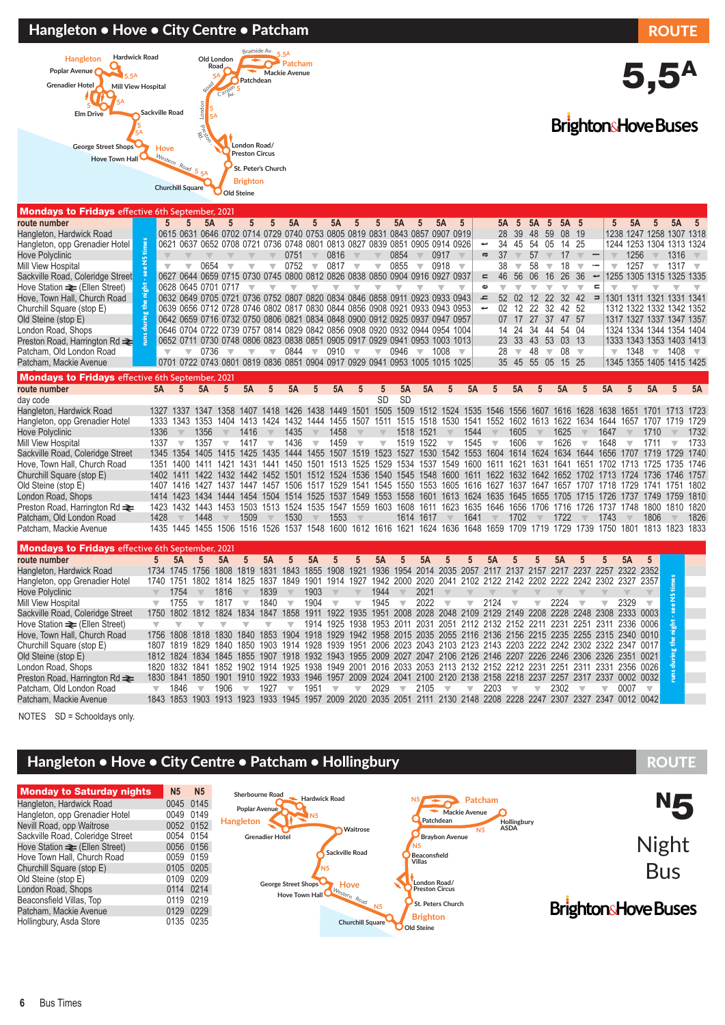### Hangleton • Hove • City Centre • Patcham ROUTE



# 5,5A

**BrightonsHove Buses** 

# Mondays to Fridays effective 6th September, 2021

| route number                                            |                         |                          |                          | 5A                       | 5                       | 5                                                                                                   | 5                       | 5A                      | 5                        | 5A                      | 5                                                                     | 5                                       | 5A                       |                          | 5Α                      | 5                        |                          | 5Α<br>5                       | 5A    | 5                       | 5A       | 5                        | 5                                                    | 5A                                                                                                                 | 5                                                                                                                            | 5A        | 5                       |
|---------------------------------------------------------|-------------------------|--------------------------|--------------------------|--------------------------|-------------------------|-----------------------------------------------------------------------------------------------------|-------------------------|-------------------------|--------------------------|-------------------------|-----------------------------------------------------------------------|-----------------------------------------|--------------------------|--------------------------|-------------------------|--------------------------|--------------------------|-------------------------------|-------|-------------------------|----------|--------------------------|------------------------------------------------------|--------------------------------------------------------------------------------------------------------------------|------------------------------------------------------------------------------------------------------------------------------|-----------|-------------------------|
| Hangleton, Hardwick Road                                |                         |                          |                          |                          |                         | 0615 0631 0646 0702 0714 0729 0740 0753 0805 0819 0831 0843 0857 0907 0919                          |                         |                         |                          |                         |                                                                       |                                         |                          |                          |                         |                          |                          | 28<br>39                      | 48    | 59                      | 08       | -19                      |                                                      |                                                                                                                    | 1238 1247 1258 1307 1318                                                                                                     |           |                         |
| Hangleton, opp Grenadier Hotel                          |                         |                          |                          |                          |                         | 0621 0637 0652 0708 0721 0736 0748 0801 0813 0827 0839 0851 0905 0914 0926                          |                         |                         |                          |                         |                                                                       |                                         |                          |                          |                         |                          | $\overline{\phantom{a}}$ | 34<br>45                      | 54    | 05                      | 14       | 25                       |                                                      |                                                                                                                    | 1244 1253 1304 1313 1324                                                                                                     |           |                         |
| <b>Hove Polyclinic</b>                                  | 또<br>모                  |                          |                          |                          |                         |                                                                                                     |                         | 0751                    | $\overline{\phantom{a}}$ | 0816                    | $\overline{\mathbf{v}}$                                               |                                         | 0854                     |                          | 0917                    |                          | $\boldsymbol{\varpi}$    | 37<br>$\overline{\mathbf{v}}$ | 57    | $\overline{\mathbf{v}}$ | 17       | $\overline{\mathbf{v}}$  |                                                      | 1256                                                                                                               | $\overline{\mathbf{v}}$                                                                                                      | 1316      |                         |
| <b>Mill View Hospital</b>                               |                         | $\overline{\phantom{a}}$ |                          | 0654                     | $\overline{\mathbb{V}}$ | $\overline{\phantom{a}}$                                                                            | $\overline{\mathbb{V}}$ | 0752                    | $\overline{\phantom{a}}$ | 0817                    | $\overline{\phantom{a}}$                                              | $\overline{\mathbb{V}}$                 | 0855                     | $\overline{\phantom{a}}$ | 0918                    | $\overline{\phantom{a}}$ |                          | 38                            | 58    |                         | 18       | $\overline{\phantom{a}}$ | $\overline{\phantom{a}}$<br>$\overline{\phantom{a}}$ | 1257                                                                                                               | $\overline{\phantom{a}}$                                                                                                     | $1317 =$  |                         |
| Sackville Road, Coleridge Street                        |                         |                          |                          |                          |                         | 0627 0644 0659 0715 0730 0745 0800 0812 0826 0838 0850 0904 0916 0927                               |                         |                         |                          |                         |                                                                       |                                         |                          |                          |                         | 0937                     | $\equiv$                 | 46<br>56                      | 06    | 16                      | 26       | 36                       | ļ                                                    |                                                                                                                    | 1255 1305 1315 1325 1335                                                                                                     |           |                         |
| Hove Station $\equiv$ (Ellen Street)                    |                         |                          |                          | 0628 0645 0701 0717      |                         | $\overline{\mathbf{v}}$                                                                             | ▼                       | $\overline{\mathbf{v}}$ |                          | $\overline{\mathbb{V}}$ |                                                                       |                                         |                          |                          |                         | $\overline{\mathbb{V}}$  | $\mathbf \omega$         | $\overline{\mathbf{v}}$       |       |                         |          | $\overline{\mathbb{V}}$  | $\equiv$<br>$\overline{\phantom{a}}$                 |                                                                                                                    |                                                                                                                              |           |                         |
| Hove, Town Hall, Church Road                            |                         |                          |                          |                          |                         | 0632 0649 0705 0721 0736 0752 0807 0820 0834 0846 0858 0911 0923 0933 0943                          |                         |                         |                          |                         |                                                                       |                                         |                          |                          |                         |                          | ᅩ                        | 52<br>02                      | 12    | 22                      | 32       | 42                       | $\Rightarrow$                                        |                                                                                                                    | 1301 1311 1321 1331 1341                                                                                                     |           |                         |
| Churchill Square (stop E)                               |                         |                          |                          |                          |                         | 0639 0656 0712 0728 0746 0802 0817 0830 0844 0856 0908 0921 0933 0943 0953                          |                         |                         |                          |                         |                                                                       |                                         |                          |                          |                         |                          | ىپ                       | 02 <sup>°</sup><br>12         | 22    | -32                     | 42 52    |                          |                                                      |                                                                                                                    | 1312 1322 1332 1342 1352                                                                                                     |           |                         |
| Old Steine (stop E)                                     |                         |                          |                          |                          |                         | 0642 0659 0716 0732 0750 0806 0821 0834 0848 0900 0912 0925 0937 0947 0957                          |                         |                         |                          |                         |                                                                       |                                         |                          |                          |                         |                          |                          | 07                            | 17 27 |                         | 37 47 57 |                          |                                                      |                                                                                                                    | 1317 1327 1337 1347 1357                                                                                                     |           |                         |
| London Road, Shops                                      |                         |                          |                          |                          |                         | 0646 0704 0722 0739 0757 0814 0829 0842 0856 0908 0920 0932 0944 0954 1004                          |                         |                         |                          |                         |                                                                       |                                         |                          |                          |                         |                          |                          | 14<br>24                      | 34    | 44                      | 54       | 04                       |                                                      |                                                                                                                    | 1324 1334 1344 1354 1404                                                                                                     |           |                         |
| Preston Road, Harrington Rd <b>≥</b>                    |                         |                          |                          |                          |                         | 0652 0711 0730 0748 0806 0823 0838 0851 0905 0917 0929 0941 0953 1003 1013                          |                         |                         |                          |                         |                                                                       |                                         |                          |                          |                         |                          |                          | 23 33 43 53 03 13             |       |                         |          |                          |                                                      |                                                                                                                    | 1333 1343 1353 1403 1413                                                                                                     |           |                         |
| Patcham, Old London Road                                |                         |                          | $\overline{\phantom{a}}$ |                          | $0736$ $\sqrt{ }$       | $\overline{\mathbf{v}}$                                                                             | $\overline{\mathbf{v}}$ | 0844                    | $\overline{\phantom{0}}$ | $0910 =$                |                                                                       | $\overline{\mathbf{v}}$                 | 0946                     | $\overline{\mathbf{v}}$  | 1008                    | $\overline{\mathbf{v}}$  |                          | 28<br>$\overline{\mathbf{v}}$ | 48    | $\overline{\mathbf{v}}$ | 08       | $\overline{\mathbf{v}}$  |                                                      |                                                                                                                    | $\sqrt{1348}$ $\sqrt{1408}$                                                                                                  |           | $\overline{\mathbf{v}}$ |
| Patcham, Mackie Avenue                                  |                         |                          |                          |                          |                         | 0701 0722 0743 0801 0819 0836 0851 0904 0917 0929 0941 0953 1005 1015 1025                          |                         |                         |                          |                         |                                                                       |                                         |                          |                          |                         |                          |                          | 35 45 55 05 15 25             |       |                         |          |                          |                                                      |                                                                                                                    | 1345 1355 1405 1415 1425                                                                                                     |           |                         |
| <b>Mondays to Fridays</b> effective 6th September, 2021 |                         |                          |                          |                          |                         |                                                                                                     |                         |                         |                          |                         |                                                                       |                                         |                          |                          |                         |                          |                          |                               |       |                         |          |                          |                                                      |                                                                                                                    |                                                                                                                              |           |                         |
| route number                                            |                         | 5A                       | $5\overline{)}$          | 5A                       | $5\overline{)}$         | 5A                                                                                                  | 5                       | 5A                      | 5                        | 5A                      | 5                                                                     |                                         | 5A                       | 5A                       | 5                       | 5A                       | $5\overline{)}$          | 5A                            |       | 5                       | 5A       |                          | 5A                                                   | 5                                                                                                                  | 5A                                                                                                                           | 5         | 5A                      |
| day code                                                |                         |                          |                          |                          |                         |                                                                                                     |                         |                         |                          |                         |                                                                       | <b>SD</b>                               | <b>SD</b>                |                          |                         |                          |                          |                               |       |                         |          |                          |                                                      |                                                                                                                    |                                                                                                                              |           |                         |
| Hangleton, Hardwick Road                                |                         |                          |                          | 1327 1337 1347           |                         | 1358 1407 1418 1426                                                                                 |                         |                         |                          |                         | 1438 1449 1501 1505 1509 1512 1524 1535 1546 1556 1607 1616 1628      |                                         |                          |                          |                         |                          |                          |                               |       |                         |          |                          | 1638                                                 | 1651                                                                                                               | 1701 1713 1723                                                                                                               |           |                         |
| Hangleton, opp Grenadier Hotel                          |                         |                          |                          | 1333 1343 1353           |                         | 1404 1413 1424 1432 1444 1455 1507 1511                                                             |                         |                         |                          |                         |                                                                       |                                         |                          |                          |                         |                          |                          |                               |       |                         |          |                          |                                                      | 1515 1518 1530 1541 1552 1602 1613 1622 1634 1644 1657                                                             | 1707                                                                                                                         | 1719 1729 |                         |
| <b>Hove Polyclinic</b>                                  | 1336                    |                          |                          | 1356                     |                         | 1416                                                                                                |                         | 1435                    |                          | 1458                    |                                                                       |                                         |                          | 1518 1521                |                         | 1544                     |                          | 1605                          |       |                         | 1625     |                          | 1647                                                 |                                                                                                                    | 1710                                                                                                                         |           | 1732                    |
| Mill View Hospital                                      | 1337                    |                          | $\overline{\mathbf{v}}$  | 1357                     | $\overline{\mathbf{v}}$ | 1417                                                                                                | $\overline{\mathbf{v}}$ | 1436                    | $\overline{\mathbf{v}}$  | 1459                    | $\overline{\mathbf{v}}$                                               | $\overline{\mathbf{v}}$                 |                          | 1519 1522                | $\overline{\mathbb{V}}$ | 1545                     | $\overline{\mathbf{v}}$  | 1606                          |       | $\overline{\mathbf{v}}$ | 1626     | $\overline{\mathbf{v}}$  | 1648                                                 |                                                                                                                    | 1711                                                                                                                         |           | 1733                    |
| Sackville Road, Coleridge Street                        |                         |                          |                          | 1345 1354 1405           |                         | 1415 1425                                                                                           |                         | 1435 1444               |                          |                         | 1455 1507 1519 1523 1527 1530 1542 1553 1604 1614 1624 1634 1644 1656 |                                         |                          |                          |                         |                          |                          |                               |       |                         |          |                          |                                                      |                                                                                                                    | 1707 1719                                                                                                                    | 1729      | 1740                    |
| Hove, Town Hall, Church Road                            |                         |                          |                          |                          |                         |                                                                                                     |                         |                         |                          |                         |                                                                       |                                         |                          |                          |                         |                          |                          |                               |       |                         |          |                          |                                                      |                                                                                                                    | 1351 1400 1411 1421 1431 1441 1450 1501 1513 1525 1529 1534 1537 1549 1600 1611 1621 1631 1641 1651 1702 1713 1725 1735 1746 |           |                         |
| Churchill Square (stop E)                               |                         |                          |                          |                          |                         |                                                                                                     |                         |                         |                          |                         |                                                                       |                                         |                          |                          |                         |                          |                          |                               |       |                         |          |                          |                                                      |                                                                                                                    | 1402 1411 1422 1432 1442 1452 1501 1512 1524 1536 1540 1545 1548 1600 1611 1622 1632 1642 1652 1702 1713 1724 1736 1746 1757 |           |                         |
| Old Steine (stop E)                                     |                         |                          |                          |                          |                         |                                                                                                     |                         |                         |                          |                         |                                                                       |                                         |                          |                          |                         |                          |                          |                               |       |                         |          |                          |                                                      | 1407 1416 1427 1437 1447 1457 1506 1517 1529 1541 1545 1550 1553 1605 1616 1627 1637 1647 1657 1707 1718 1729      | 1741 1751                                                                                                                    |           | 1802                    |
| London Road, Shops                                      |                         |                          |                          |                          |                         | 1414 1423 1434 1444 1454 1504 1514 1525 1537 1549 1553 1558 1601 1613 1624 1635 1645 1655 1705 1715 |                         |                         |                          |                         |                                                                       |                                         |                          |                          |                         |                          |                          |                               |       |                         |          |                          | 1726                                                 |                                                                                                                    | 1737 1749                                                                                                                    | 1759 1810 |                         |
| Preston Road, Harrington Rd $\rightleftharpoons$        |                         |                          |                          |                          |                         | 1423 1432 1443 1453 1503 1513 1524 1535 1547 1559 1603 1608 1611 1623 1635 1646 1656 1706 1716 1726 |                         |                         |                          |                         |                                                                       |                                         |                          |                          |                         |                          |                          |                               |       |                         |          |                          |                                                      |                                                                                                                    | 1737 1748 1800 1810 1820                                                                                                     |           |                         |
| Patcham, Old London Road                                | 1428                    |                          |                          | 1448                     |                         | 1509                                                                                                |                         | 1530                    |                          | 1553                    |                                                                       |                                         |                          | 1614 1617                |                         | 1641                     |                          | 1702                          |       |                         | 1722     |                          | 1743                                                 |                                                                                                                    | 1806                                                                                                                         |           | 1826                    |
| Patcham, Mackie Avenue                                  |                         |                          |                          |                          |                         | 1435 1445 1455 1506 1516 1526 1537 1548 1600 1612 1616 1621 1624 1636 1648 1659 1709 1719 1729      |                         |                         |                          |                         |                                                                       |                                         |                          |                          |                         |                          |                          |                               |       |                         |          | 1739                     | 1750                                                 | 1801                                                                                                               | 1813                                                                                                                         | 1823 1833 |                         |
| <b>Mondays to Fridays</b> effective 6th September, 2021 |                         |                          |                          |                          |                         |                                                                                                     |                         |                         |                          |                         |                                                                       |                                         |                          |                          |                         |                          |                          |                               |       |                         |          |                          |                                                      |                                                                                                                    |                                                                                                                              |           |                         |
| route number                                            | 5                       |                          | 5A                       | $\overline{5}$           | 5A                      | 5                                                                                                   | 5A                      | 5                       | 5A                       | 5                       | 5                                                                     | 5A                                      | 5                        | 5A                       | 5                       | 5                        | 5A                       | 5                             |       | 5                       | 5A       |                          | 5                                                    | 5A                                                                                                                 | $5\overline{)}$                                                                                                              |           |                         |
| Hangleton, Hardwick Road                                |                         |                          |                          | 1734 1745 1756           | 1808                    | 1819 1831 1843                                                                                      |                         |                         | 1855                     |                         | 1908 1921                                                             | 1936 1954 2014 2035 2057 2117 2137 2157 |                          |                          |                         |                          |                          |                               |       |                         |          | 2217 2237                | 2257                                                 | 2322                                                                                                               | 2352                                                                                                                         |           |                         |
| Hangleton, opp Grenadier Hotel                          | 1740                    |                          |                          | 1751 1802                |                         | 1814 1825 1837 1849                                                                                 |                         |                         | 1901                     |                         | 1914 1927                                                             |                                         |                          |                          |                         |                          |                          |                               |       |                         |          |                          |                                                      | 1942 2000 2020 2041 2102 2122 2142 2202 2222 2242 2302 2327 2357                                                   |                                                                                                                              |           |                         |
| <b>Hove Polyclinic</b>                                  |                         |                          | 1754                     |                          | 1816                    |                                                                                                     | 1839                    |                         | 1903                     |                         |                                                                       | 1944                                    |                          | 2021                     |                         |                          |                          |                               |       |                         |          |                          |                                                      |                                                                                                                    |                                                                                                                              | times     |                         |
| <b>Mill View Hospital</b>                               | $\overline{\mathbf{v}}$ |                          | 1755                     | $\overline{\phantom{a}}$ | 1817                    | $\overline{\phantom{a}}$                                                                            | 1840                    | $\overline{\mathbf{v}}$ | 1904                     | $\overline{\mathbf{v}}$ | $\overline{\phantom{a}}$                                              | 1945                                    | $\overline{\phantom{a}}$ | 2022                     | $\overline{\mathbf{v}}$ | $\overline{\mathbb{V}}$  | 2124                     |                               |       | w                       | 2224     |                          |                                                      | 2329                                                                                                               | $\overline{\phantom{a}}$                                                                                                     | Ξ         |                         |
| Sackville Road, Coleridge Street                        | 1750                    |                          | 1802                     | 1812                     | 1824                    | 1834                                                                                                | 1847                    | 1858                    | 1911                     |                         | 1922 1935                                                             |                                         |                          |                          |                         |                          |                          |                               |       |                         |          |                          |                                                      | 1951 2008 2028 2048 2109 2129 2149 2208 2228 2248 2308 2333 0003                                                   |                                                                                                                              |           |                         |
| Hove Station $\equiv$ (Ellen Street)                    | $\overline{\mathbf{v}}$ |                          |                          |                          |                         |                                                                                                     | $\overline{\mathbb{V}}$ | $\overline{\mathbf{v}}$ |                          |                         |                                                                       |                                         |                          |                          |                         |                          |                          |                               |       |                         |          |                          |                                                      | 1914 1925 1938 1953 2011 2031 2051 2112 2132 2152 2211 2231 2251 2311 2336 0006                                    |                                                                                                                              |           |                         |
| Hove, Town Hall, Church Road                            | 1756                    | 1808                     |                          | 1818                     | 1830                    |                                                                                                     |                         |                         |                          |                         |                                                                       |                                         |                          |                          |                         |                          |                          |                               |       |                         |          |                          |                                                      | 1840 1853 1904 1918 1929 1942 1958 2015 2035 2055 2116 2136 2156 2215 2235 2255 2315 2340 0010                     |                                                                                                                              |           |                         |
| Churchill Square (stop E)                               | 1807                    |                          | 1819                     | 1829                     | 1840                    | 1850                                                                                                | 1903 1914               |                         | 1928                     |                         | 1939 1951                                                             | 2006 2023 2043 2103 2123 2143 2203 2222 |                          |                          |                         |                          |                          |                               |       |                         |          |                          |                                                      | 2242 2302 2322 2347 0017                                                                                           |                                                                                                                              |           |                         |
| Old Steine (stop E)                                     |                         |                          |                          | 1812 1824 1834           |                         |                                                                                                     |                         |                         |                          |                         |                                                                       |                                         |                          |                          |                         |                          |                          |                               |       |                         |          |                          |                                                      | 1845 1855 1907 1918 1932 1943 1955 2009 2027 2047 2106 2126 2146 2207 2226 2246 2306 2326 2351 0021                |                                                                                                                              |           |                         |
| London Road, Shops                                      |                         |                          |                          | 1820 1832 1841           |                         | 1852 1902 1914 1925                                                                                 |                         |                         |                          |                         |                                                                       |                                         |                          |                          |                         |                          |                          |                               |       |                         |          |                          |                                                      | 1938 1949 2001 2016 2033 2053 2113 2132 2152 2212 2231 2251 2311 2331 2356 0026                                    |                                                                                                                              |           |                         |
| Preston Road, Harrington Rd <b>≥</b>                    |                         |                          |                          |                          |                         |                                                                                                     |                         |                         |                          |                         |                                                                       |                                         |                          |                          |                         |                          |                          |                               |       |                         |          |                          |                                                      | 1830 1841 1850 1901 1910 1922 1933 1946 1957 2009 2024 2041 2100 2120 2138 2158 2218 2237 2257 2317 2337 0002 0032 |                                                                                                                              |           |                         |
|                                                         |                         |                          |                          |                          |                         |                                                                                                     |                         |                         |                          |                         |                                                                       |                                         |                          |                          |                         |                          |                          |                               |       |                         |          |                          |                                                      |                                                                                                                    |                                                                                                                              |           |                         |

NOTES SD = Schooldays only.

### Hangleton • Hove • City Centre • Patcham • Hollingbury ROUTE



London Road, Shops 1820 1832 1841 1852 1902 1914 1925 1938 1949 2001 2016 2033 2053 2113 2132 2152 2212 2231 2251 2311 2331 2356 0026 Preston Road, Harrington Rd ₹ 1830 1841 1850 1901 1910 1922 1933 1946 1957 2009 2024 2041 2100 2120 2138 2158 2218 2237 2257 2317 2337 0002 0032<br>Patcham. Old London Road ₹ 1846 → 1906 → 1927 → 1951 → 2029 → 2105 → 2203 → Patcham, Old London Road t ∀ 1846 ∀ 1906 ∀ 1927 ∀ 1951 ∀ ∀ 2029 ∀ 2105 ∀ ∀ 2203 ∀ ∀ 2302 ∀ ∀ 0007 ∀ Patcham, Mackie Avenue 1843 1853 1903 1913 1923 1933 1945 1957 2009 2020 2035 2051 2111 2130 2148 2208 2228 2247 2307 2327 2347 0012 0042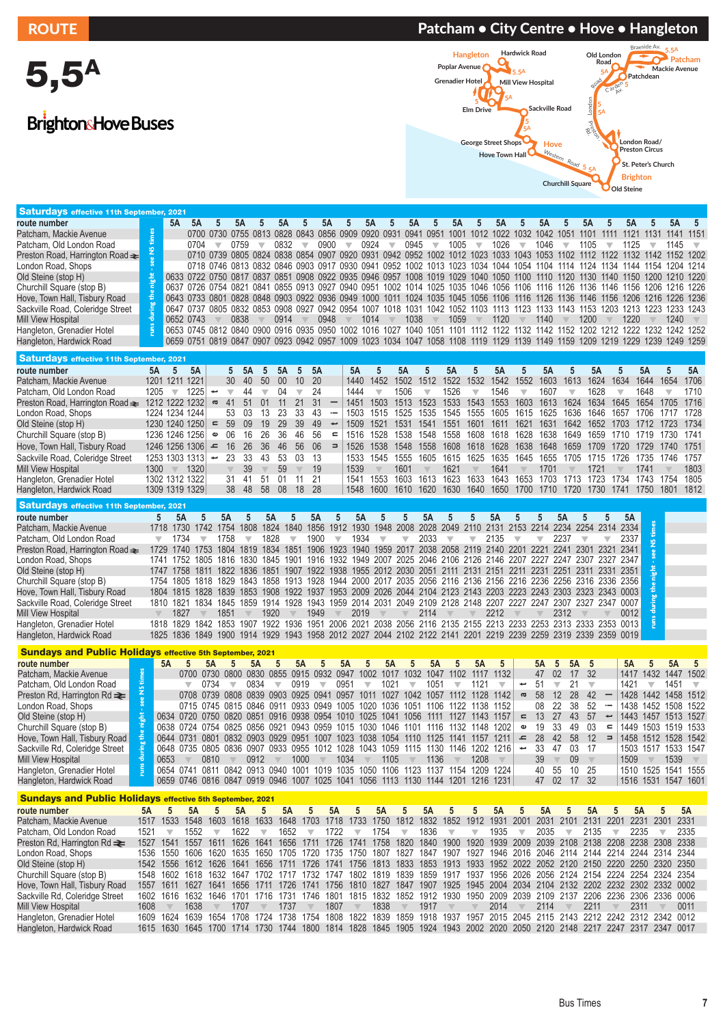5,5A

BrightonsHove Buses

## ROUTE PATCHER PATCHER PATCHER PATCHER PATCHER PATCHER PATCHER POUTE PATCHER PATCHER PATCHER PATCHER PATCHER PA



| <b>Saturdays effective 11th September,</b>                       |                                 | 2021                                                                                                                         |                          |                               |                          |                                 |                                 |                                         |                                                                                                |                         |                         |                         |                          |                                 |                                 |                               |                         |                          |           |                                 |                                                                                                                         |
|------------------------------------------------------------------|---------------------------------|------------------------------------------------------------------------------------------------------------------------------|--------------------------|-------------------------------|--------------------------|---------------------------------|---------------------------------|-----------------------------------------|------------------------------------------------------------------------------------------------|-------------------------|-------------------------|-------------------------|--------------------------|---------------------------------|---------------------------------|-------------------------------|-------------------------|--------------------------|-----------|---------------------------------|-------------------------------------------------------------------------------------------------------------------------|
| route number                                                     |                                 | 5A<br>5A                                                                                                                     | 5                        | <b>5A</b>                     |                          | 5A<br>5                         | <b>5A</b>                       | 5                                       | 5A<br>5                                                                                        | 5A                      | 5                       | 5Α                      | 5                        | 5Α                              | 5A                              | 5                             | 5Α                      |                          | 5Α        |                                 | 5Α<br>5                                                                                                                 |
| Patcham, Mackie Avenue                                           |                                 |                                                                                                                              | 0700 0730 0755           |                               |                          | 0813 0828 0843                  |                                 | 0856 0909                               | 0920                                                                                           | 0931 0941 0951 1001     |                         |                         | 1012 1022                | 1032                            | 1042                            | 1051                          | 1101                    | 1111                     | 1121      | 1131<br>1141                    | 1151                                                                                                                    |
|                                                                  |                                 |                                                                                                                              |                          |                               | $\overline{\phantom{a}}$ |                                 |                                 |                                         |                                                                                                |                         |                         |                         | $\overline{\phantom{a}}$ |                                 |                                 |                               |                         |                          |           |                                 |                                                                                                                         |
| Patcham. Old London Road                                         | N <sub>5</sub> times            | 0704                                                                                                                         | $\overline{\mathbf{v}}$  | 0759                          |                          | 0832<br>$\overline{\mathbb{V}}$ | 0900                            | $\overline{\mathbb{V}}$                 | 0924<br>$\overline{\mathbf{v}}$                                                                | 0945                    | $\overline{\mathbf{v}}$ | 1005                    |                          | 1026<br>$\overline{\mathbb{V}}$ | 1046                            | $\overline{\mathbf{v}}$       | 1105                    | ▼                        | 1125      | ▼                               | 1145<br>$\overline{\mathbf{v}}$                                                                                         |
| Preston Road, Harrington Road <del>≥</del>                       |                                 |                                                                                                                              | 0710 0739 0805           |                               |                          |                                 |                                 |                                         | 0824 0838 0854 0907 0920 0931 0942 0952 1002 1012 1023 1033 1043 1053                          |                         |                         |                         |                          |                                 |                                 | 1102                          | 1112                    | 1122 1132                |           |                                 | 1142 1152 1202                                                                                                          |
| London Road, Shops                                               |                                 |                                                                                                                              |                          |                               |                          |                                 |                                 |                                         |                                                                                                |                         |                         |                         |                          |                                 |                                 |                               |                         |                          |           |                                 | 0718 0746 0813 0832 0846 0903 0917 0930 0941 0952 1002 1013 1023 1034 1044 1054 1104 1114 1124 1134 1144 1154 1204 1214 |
| Old Steine (stop H)                                              | night                           | 0633 0722 0750 0817 0837 0851 0908 0922 0935 0946 0957 1008 1019 1029 1040 1050 1100 1110 1120                               |                          |                               |                          |                                 |                                 |                                         |                                                                                                |                         |                         |                         |                          |                                 |                                 |                               | 1130 1140 1150          |                          |           |                                 | 1200 1210 1220                                                                                                          |
| Churchill Square (stop B)                                        |                                 | 0637 0726 0754 0821 0841 0855 0913 0927 0940 0951 1002 1014 1025 1035 1046 1056 1106                                         |                          |                               |                          |                                 |                                 |                                         |                                                                                                |                         |                         |                         |                          |                                 | 1116                            |                               | 1126 1136 1146 1156     |                          |           |                                 | 1206 1216 1226                                                                                                          |
| Hove, Town Hall, Tisbury Road                                    | the                             | 0643 0733 0801 0828 0848 0903 0922 0936 0949 1000 1011 1024 1035 1045 1056 1106 1116 1126 1136 1146 1156 1206                |                          |                               |                          |                                 |                                 |                                         |                                                                                                |                         |                         |                         |                          |                                 |                                 |                               |                         |                          |           |                                 | 1216 1226 1236                                                                                                          |
| Sackville Road, Coleridge Street                                 |                                 | 0647 0737 0805 0832 0853 0908 0927 0942 0954 1007 1018 1031 1042 1052 1103 1113 1123 1133 1143 1153 1203 1213 1223 1233      |                          |                               |                          |                                 |                                 |                                         |                                                                                                |                         |                         |                         |                          |                                 |                                 |                               |                         |                          |           |                                 | 1243                                                                                                                    |
|                                                                  | during                          | 0652 0743                                                                                                                    |                          | 0838                          |                          | 0914                            | 0948                            |                                         | 1014                                                                                           | 1038                    |                         | 1059                    |                          | 1120                            | 1140                            |                               | 1200                    |                          | 1220      |                                 | 1240                                                                                                                    |
| Mill View Hospital                                               | <b>Turns</b>                    |                                                                                                                              |                          |                               |                          |                                 |                                 |                                         |                                                                                                |                         |                         |                         |                          |                                 |                                 |                               |                         |                          |           |                                 |                                                                                                                         |
| Hangleton, Grenadier Hotel                                       |                                 | 0653 0745 0812 0840 0900 0916 0935 0950 1002 1016 1027 1040 1051 1101 1112 1122 1132 1142 1152 1202 1212 1222 1232 1242 1252 |                          |                               |                          |                                 |                                 |                                         |                                                                                                |                         |                         |                         |                          |                                 |                                 |                               |                         |                          |           |                                 |                                                                                                                         |
| Hangleton, Hardwick Road                                         |                                 | 0659 0751 0819 0847 0907 0923 0942 0957 1009 1023 1034 1047 1058 1108 1119 1129 1139 1149 1159 1209 1219 1229 1239 1249 1259 |                          |                               |                          |                                 |                                 |                                         |                                                                                                |                         |                         |                         |                          |                                 |                                 |                               |                         |                          |           |                                 |                                                                                                                         |
|                                                                  |                                 |                                                                                                                              |                          |                               |                          |                                 |                                 |                                         |                                                                                                |                         |                         |                         |                          |                                 |                                 |                               |                         |                          |           |                                 |                                                                                                                         |
| <b>Saturdays effective 11th September, 2021</b>                  |                                 |                                                                                                                              |                          |                               |                          |                                 |                                 |                                         |                                                                                                |                         |                         |                         |                          |                                 |                                 |                               |                         |                          |           |                                 |                                                                                                                         |
| route number                                                     | <b>5A</b>                       | 5<br>5A                                                                                                                      |                          | 5<br>5A                       | 5                        | 5A<br>5                         | 5A                              | <b>5A</b>                               | 5                                                                                              | 5A                      | 5                       | 5A                      | 5                        | <b>5A</b>                       | 5<br>5A                         | 5                             | 5A                      | 5                        | 5A        | 5                               | 5A                                                                                                                      |
| Patcham, Mackie Avenue                                           |                                 | 1201 1211 1221                                                                                                               |                          | 30<br>40                      | 50                       | 00<br>10                        | 20                              | 1440                                    | 1452                                                                                           | 1502                    | 1512                    | 1522                    | 1532                     | 1552<br>1542                    | 1603                            | 1613                          | 1624                    | 1634                     | 1644      | 1654                            | 1706                                                                                                                    |
| Patcham, Old London Road                                         | 1205                            | 1225<br>$\overline{\mathbf{v}}$                                                                                              | پ                        | 44<br>$\overline{\mathbf{v}}$ | $\overline{\mathbb{V}}$  | 04<br>$\overline{\mathbb{V}}$   | 24                              | 1444                                    | $\overline{\mathbf{v}}$                                                                        | 1506                    | $\overline{\mathbb{V}}$ | 1526                    | $\overline{\mathbf{v}}$  | 1546                            | 1607<br>$\overline{\mathbb{V}}$ | $\overline{\mathbb{V}}$       | 1628                    | $\overline{\mathbb{V}}$  | 1648      | $\overline{\mathbb{V}}$         | 1710                                                                                                                    |
| Preston Road, Harrington Road ₹ 1212 1222 1232                   |                                 |                                                                                                                              | g                        | 41<br>51                      | 01                       | 21<br>11                        | 31                              | 1451                                    | 1503                                                                                           | 1513                    | 1523                    | 1533                    | 1543                     | 1553<br>1603                    | 1613                            | 1624                          | 1634                    | 1645                     | 1654      | 1705                            | 1716                                                                                                                    |
|                                                                  |                                 |                                                                                                                              |                          |                               |                          | 23<br>33                        |                                 |                                         |                                                                                                |                         | 1535                    |                         |                          |                                 |                                 |                               |                         |                          |           |                                 |                                                                                                                         |
| London Road, Shops                                               |                                 | 1224 1234 1244                                                                                                               |                          | 53<br>03                      | 13                       |                                 | 43<br>$\overline{\phantom{0}}$  | 1503                                    | 1515                                                                                           | 1525                    |                         | 1545                    | 1555                     | 1605 1615                       | 1625                            | 1636                          | 1646                    |                          | 1657 1706 | 1717                            | 1728                                                                                                                    |
| Old Steine (stop H)                                              |                                 | 1230 1240 1250                                                                                                               | $\blacksquare$           | 59<br>09                      | 19                       | 29<br>39                        | 49<br>$\overline{\phantom{0}}$  | 1509                                    | 1521                                                                                           | 1531                    | 1541                    | 1551                    | 1601                     | 1611<br>1621                    | 1631                            | 1642                          | 1652                    | 1703                     | 1712      | 1723                            | 1734                                                                                                                    |
| Churchill Square (stop B)                                        |                                 | 1236 1246 1256                                                                                                               | $\pmb{\omega}$           | 06<br>16                      | 26                       | 36<br>46                        | 56<br>$\mathbf{r}$              | 1516                                    | 1528                                                                                           | 1538                    | 1548                    | 1558                    | 1608                     | 1618<br>1628                    | 1638                            | 1649                          | 1659                    |                          | 1710 1719 | 1730                            | 1741                                                                                                                    |
| Hove, Town Hall, Tisbury Road                                    |                                 | 1246 1256 1306                                                                                                               | $\overline{\phantom{a}}$ | 16<br>26                      | 36                       | 46<br>56                        | 06<br>$\equiv$                  | 1526                                    | 1538                                                                                           | 1548                    | 1558                    | 1608                    | 1618                     | 1628                            | 1638<br>1648                    | 1659                          | 1709                    | 1720                     | 1729      | 1740                            | 1751                                                                                                                    |
| Sackville Road, Coleridge Street                                 |                                 | 1253 1303 1313                                                                                                               | $\overline{\phantom{0}}$ | 33<br>23                      | 43                       | 03<br>53                        | 13                              | 1533                                    | 1545                                                                                           | 1555                    | 1605                    | 1615                    | 1625                     | 1635                            | 1645<br>1655                    | 1705                          | 1715                    | 1726                     | 1735      | 1746                            | 1757                                                                                                                    |
| <b>Mill View Hospital</b>                                        | 1300                            | 1320<br>$\overline{\mathbb{V}}$                                                                                              |                          | 39<br>$\overline{\mathbb{V}}$ | $\overline{\mathbb{V}}$  | 59                              | 19                              | 1539                                    |                                                                                                | 1601                    |                         | 1621                    |                          | 1641                            | 1701                            |                               | 1721                    |                          | 1741      |                                 | 1803                                                                                                                    |
|                                                                  |                                 |                                                                                                                              |                          |                               |                          |                                 |                                 |                                         |                                                                                                |                         |                         |                         |                          |                                 |                                 |                               | 1713 1723               |                          |           |                                 |                                                                                                                         |
| Hangleton, Grenadier Hotel                                       |                                 | 1302 1312 1322                                                                                                               |                          | 31<br>41                      | 51                       | 01<br>11                        | 21                              | 1541                                    | 1553                                                                                           | 1603                    | 1613 1623               |                         |                          | 1633 1643 1653 1703             |                                 |                               |                         |                          | 1734 1743 | 1754                            | 1805                                                                                                                    |
| Hangleton, Hardwick Road                                         |                                 | 1309 1319 1329                                                                                                               |                          | 38 48                         | 58                       | 08<br>18                        | 28                              | 1548                                    | 1600                                                                                           | 1610                    | 1620                    | 1630                    |                          | 1640 1650 1700 1710 1720 1730   |                                 |                               |                         |                          | 1741 1750 | 1801                            | 1812                                                                                                                    |
| <b>Saturdays effective 11th September, 2021</b>                  |                                 |                                                                                                                              |                          |                               |                          |                                 |                                 |                                         |                                                                                                |                         |                         |                         |                          |                                 |                                 |                               |                         |                          |           |                                 |                                                                                                                         |
| route number                                                     | 5                               | 5A<br>5                                                                                                                      | 5A                       | 5                             | 5A                       | 5                               | 5A                              | 5A<br>5                                 | 5                                                                                              | 5                       | <b>5A</b>               | 5                       | 5<br>5A                  | 5                               | 5                               | 5A                            | 5                       | 5                        | 5A        |                                 |                                                                                                                         |
|                                                                  | 1718                            | 1730<br>1742                                                                                                                 | 1754                     | 1808                          | 1824                     | 1840                            | 1856                            | 1912 1930                               | 1948                                                                                           | 2008                    | 2028                    | 2049                    | 2110<br>2131             |                                 | 2153 2214                       | 2234                          | 2254                    | 2314                     | 2334      |                                 |                                                                                                                         |
| Patcham, Mackie Avenue                                           |                                 |                                                                                                                              |                          |                               |                          |                                 |                                 |                                         |                                                                                                |                         |                         |                         |                          |                                 |                                 |                               |                         |                          |           | times                           |                                                                                                                         |
| Patcham, Old London Road                                         | $\overline{\mathbf{v}}$         | 1734                                                                                                                         | 1758                     | ▼                             | 1828                     | $\overline{\mathbf{v}}$         | 1900                            | 1934<br>$\overline{\mathbf{v}}$         | $\overline{\mathbf{v}}$                                                                        | $\overline{\mathbf{v}}$ | 2033                    | $\overline{\mathbf{v}}$ | 2135<br>v                | $\overline{\mathbf{v}}$         | v                               | 2237                          |                         | v                        | 2337      | ž                               |                                                                                                                         |
| Preston Road, Harrington Road →                                  | 1729                            | 1753<br>1740                                                                                                                 | 1804                     | 1819                          | 1834                     | 1851                            |                                 | 1906 1923 1940 1959                     |                                                                                                | 2017                    |                         |                         |                          | 2038 2058 2119 2140 2201        | 2221                            | 2241                          | 2301                    | 2321                     | 2341      |                                 |                                                                                                                         |
| London Road, Shops                                               |                                 | 1741 1752 1805 1816 1830 1845 1901 1916 1932 1949 2007 2025 2046 2106 2126 2146 2207 2227 2247 2307 2327 2347                |                          |                               |                          |                                 |                                 |                                         |                                                                                                |                         |                         |                         |                          |                                 |                                 |                               |                         |                          |           |                                 |                                                                                                                         |
| Old Steine (stop H)                                              |                                 | 1747 1758 1811                                                                                                               | 1822                     | 1836                          |                          |                                 |                                 |                                         | 1851 1907 1922 1938 1955 2012 2030 2051 2111 2131 2151                                         |                         |                         |                         |                          | 2211                            | 2231                            | 2251                          | 2311                    | 2331                     | 2351      |                                 |                                                                                                                         |
| Churchill Square (stop B)                                        | 1754                            | 1805 1818 1829                                                                                                               |                          |                               |                          |                                 |                                 |                                         | 1843 1858 1913 1928 1944 2000 2017 2035 2056 2116 2136 2156 2216 2236 2256 2316 2336 2356      |                         |                         |                         |                          |                                 |                                 |                               |                         |                          |           |                                 |                                                                                                                         |
| Hove, Town Hall, Tisbury Road                                    | 1804                            | 1815<br>1828                                                                                                                 | 1839                     | 1853                          | 1908                     | 1922 1937                       |                                 |                                         | 1953 2009 2026 2044 2104 2123 2143                                                             |                         |                         |                         | 2203                     | 2223                            | 2243                            | 2303                          |                         |                          | 0003      |                                 |                                                                                                                         |
| Sackville Road, Coleridge Street                                 |                                 |                                                                                                                              |                          |                               |                          |                                 |                                 |                                         |                                                                                                |                         |                         |                         |                          |                                 |                                 |                               |                         |                          |           |                                 |                                                                                                                         |
|                                                                  |                                 |                                                                                                                              |                          |                               |                          |                                 |                                 |                                         |                                                                                                |                         |                         |                         |                          |                                 |                                 |                               | 2323                    | 2343                     |           |                                 |                                                                                                                         |
|                                                                  |                                 | 1810 1821 1834 1845 1859                                                                                                     |                          |                               |                          |                                 |                                 |                                         | 1914 1928 1943 1959 2014 2031 2049 2109 2128 2148 2207 2227 2247 2307 2327 2347 0007           |                         |                         |                         |                          |                                 |                                 |                               |                         |                          |           |                                 |                                                                                                                         |
| <b>Mill View Hospital</b>                                        | $\overline{\mathbb{V}}$         | 1827                                                                                                                         | 1851                     |                               | 1920                     |                                 | 1949                            | 2019                                    | $\overline{\mathbb{V}}$                                                                        |                         | 2114                    |                         | 2212                     |                                 |                                 | 2312                          |                         |                          | 0012      |                                 |                                                                                                                         |
| Hangleton, Grenadier Hotel                                       | 1818 1829                       |                                                                                                                              | 1842 1853                |                               |                          |                                 |                                 |                                         | 1907 1922 1936 1951 2006 2021 2038 2056 2116 2135 2155 2213 2233 2253 2313 2333 2353 0013      |                         |                         |                         |                          |                                 |                                 |                               |                         |                          |           |                                 |                                                                                                                         |
| Hangleton, Hardwick Road                                         | 1825                            | 1836 1849 1900                                                                                                               |                          |                               |                          |                                 |                                 |                                         | 1914 1929 1943 1958 2012 2027 2044 2102 2122 2141 2201 2219 2239 2259 2319 2339 2359 0019      |                         |                         |                         |                          |                                 |                                 |                               |                         |                          |           |                                 |                                                                                                                         |
|                                                                  |                                 |                                                                                                                              |                          |                               |                          |                                 |                                 |                                         |                                                                                                |                         |                         |                         |                          |                                 |                                 |                               |                         |                          |           |                                 |                                                                                                                         |
| <b>Sundays and Public Holidays effective 5th September, 2021</b> |                                 |                                                                                                                              |                          |                               |                          |                                 |                                 |                                         |                                                                                                |                         |                         |                         |                          |                                 |                                 |                               |                         |                          |           |                                 |                                                                                                                         |
| route number                                                     | 5A                              | 5                                                                                                                            | 5A                       | 5                             | 5A<br>5                  | 5A                              | 5                               | 5A                                      | <b>5A</b><br>5                                                                                 | 5                       | 5A                      | 5                       | 5A                       | 5                               | 5A                              | 5A<br>5                       | 5                       |                          | 5A        | 5<br>5A                         | 5                                                                                                                       |
| Patcham, Mackie Avenue                                           |                                 | 0700                                                                                                                         | 0730                     | 0800 0830                     | 0855                     | 0915                            | 0932                            | 0947                                    | 1002<br>1017                                                                                   | 1032                    | 1047                    | 1102                    | 1117                     | 1132                            | 47                              | 02<br>17                      | 32                      |                          | 1417      | 1432<br>1447                    | 1502                                                                                                                    |
| Patcham, Old London Road                                         |                                 | $\overline{\phantom{a}}$                                                                                                     | 0734                     |                               | 0834<br>₩                | 0919                            | $\overline{\mathbb{V}}$         | 0951                                    | 1021<br>$\overline{\mathbf{v}}$                                                                | $\overline{\mathbf{v}}$ | 1051                    | v                       | 112'                     | ىپ                              | 51                              | 21<br>$\overline{\mathbb{V}}$ | $\overline{\mathbf{v}}$ |                          | 1421      | 1451<br>$\overline{\mathbb{V}}$ | $\overline{\mathbf{v}}$                                                                                                 |
| Preston Rd, Harrington Rd $\equiv$                               | N5 times                        | 0708 0739                                                                                                                    |                          | 0808 0839                     |                          | 0903 0925 0941                  |                                 | 0957                                    | 1027<br>1011                                                                                   |                         | 1042 1057               | 1112                    | 1128                     | 1142                            | 58<br>g                         | 12<br>28                      | 42                      |                          | 1428      | 1442<br>1458                    | 1512                                                                                                                    |
| London Road, Shops                                               |                                 |                                                                                                                              |                          |                               |                          |                                 |                                 |                                         | 0715 0745 0815 0846 0911 0933 0949 1005 1020 1036 1051 1106                                    |                         |                         | 1122 1138               |                          | 1152                            | 08                              | 22<br>38                      | 52                      | $\overline{\phantom{a}}$ |           |                                 | 1438 1452 1508 1522                                                                                                     |
|                                                                  | 0634                            | 0720                                                                                                                         |                          |                               |                          |                                 |                                 | 0750 0820 0851 0916 0938 0954 1010 1025 |                                                                                                | 1041 1056               | 1111                    | 1127                    | 1143                     | 1157                            | 13<br>$\equiv$                  | 27<br>43                      | 57                      | $\overline{\phantom{a}}$ | 1443 1457 | 1513                            | 1527                                                                                                                    |
| Old Steine (stop H)                                              |                                 |                                                                                                                              |                          |                               |                          |                                 |                                 |                                         |                                                                                                |                         |                         |                         |                          |                                 |                                 |                               |                         |                          |           |                                 |                                                                                                                         |
| Churchill Square (stop B)                                        | night                           | 0638 0724 0754 0825 0856 0921 0943 0959 1015 1030 1046 1101 1116 1132 1148 1202                                              |                          |                               |                          |                                 |                                 |                                         |                                                                                                |                         |                         |                         |                          |                                 | 19<br>$\mathbf \omega$          | 33<br>49                      | 03                      | $\epsilon$               |           |                                 | 1449 1503 1519 1533                                                                                                     |
| Hove, Town Hall, Tisbury Road                                    | the                             | 0644 0731 0801 0832 0903 0929 0951 1007 1023 1038 1054 1110 1125 1141 1157                                                   |                          |                               |                          |                                 |                                 |                                         |                                                                                                |                         |                         |                         |                          | 1211<br>$\mathbf{r}$            | 28                              | 58<br>42                      | 12                      | $\Rightarrow$            |           |                                 | 1458 1512 1528 1542                                                                                                     |
| Sackville Rd, Coleridge Street                                   |                                 | 0648 0735 0805 0836 0907 0933 0955 1012 1028 1043 1059 1115 1130                                                             |                          |                               |                          |                                 |                                 |                                         |                                                                                                |                         |                         | 1146                    | 1202 1216                | ÷                               | 33                              | 03<br>47                      | 17                      |                          |           |                                 | 1503 1517 1533 1547                                                                                                     |
| Mill View Hospital                                               | 0653                            |                                                                                                                              | 0810                     |                               | 0912                     | 1000                            | $\overline{\mathbb{V}}$         | 1034                                    | 1105<br>$\overline{\mathbb{V}}$                                                                |                         | 1136                    | $\overline{\mathbb{V}}$ | 1208                     |                                 | 39                              | 09<br>$\overline{\mathbb{V}}$ | $\overline{\mathbb{V}}$ |                          | 1509      | 1539<br>$\boldsymbol{\nabla}$   | $\overline{\mathbb{V}}$                                                                                                 |
| Hangleton, Grenadier Hotel                                       |                                 | 0654 0741 0811 0842 0913 0940 1001 1019 1035 1050 1106 1123 1137 1154 1209 1224                                              |                          |                               |                          |                                 |                                 |                                         |                                                                                                |                         |                         |                         |                          |                                 | 40                              | 55<br>10                      | 25                      |                          |           |                                 | 1510 1525 1541 1555                                                                                                     |
| Hangleton, Hardwick Road                                         |                                 | 0659 0746 0816 0847 0919 0946 1007 1025 1041 1056 1113 1130 1144 1201 1216 1231                                              |                          |                               |                          |                                 |                                 |                                         |                                                                                                |                         |                         |                         |                          |                                 | 47 02                           |                               | 17 32                   |                          |           |                                 | 1516 1531 1547 1601                                                                                                     |
|                                                                  |                                 |                                                                                                                              |                          |                               |                          |                                 |                                 |                                         |                                                                                                |                         |                         |                         |                          |                                 |                                 |                               |                         |                          |           |                                 |                                                                                                                         |
| <b>Sundays and Public Holidays effective 5th September, 2021</b> |                                 |                                                                                                                              |                          |                               |                          |                                 |                                 |                                         |                                                                                                |                         |                         |                         |                          |                                 |                                 |                               |                         |                          |           |                                 |                                                                                                                         |
| route number                                                     | $5\phantom{.0}$<br>5A           | <b>5A</b>                                                                                                                    | $5\phantom{.0}$          | 5A                            | 5                        | 5A                              | 5A<br>5                         | 5                                       | 5A                                                                                             | 5                       | 5A                      | $5\phantom{.0}$         | 5                        | 5A<br>5                         | 5A                              | 5                             | 5A                      | 5                        | 5A        | 5                               | 5A                                                                                                                      |
| Patcham, Mackie Avenue                                           |                                 | 1517 1533 1548 1603 1618 1633 1648 1703 1718 1733 1750 1812 1832 1852 1912 1931 2001                                         |                          |                               |                          |                                 |                                 |                                         |                                                                                                |                         |                         |                         |                          |                                 |                                 |                               | 2031 2101 2131 2201     |                          |           | 2231 2301 2331                  |                                                                                                                         |
| Patcham, Old London Road                                         | 1521<br>$\overline{\mathbb{V}}$ | 1552                                                                                                                         | $\overline{\mathbf{v}}$  | 1622                          | $\overline{\mathbf{v}}$  | 1652                            | 1722<br>$\overline{\mathbf{v}}$ | $\overline{\mathbf{v}}$                 | 1754                                                                                           | $\overline{\mathbf{v}}$ | 1836                    | $\overline{\mathbf{v}}$ | $\overline{\mathbb{V}}$  | 1935<br>$\overline{\mathbf{v}}$ | 2035                            | $\overline{\mathbb{V}}$       | 2135                    | $\overline{\mathbf{v}}$  | 2235      | $\overline{\mathbf{v}}$         | 2335                                                                                                                    |
|                                                                  |                                 |                                                                                                                              |                          |                               |                          |                                 |                                 |                                         |                                                                                                |                         |                         |                         |                          |                                 |                                 |                               |                         |                          |           |                                 |                                                                                                                         |
| Preston Rd, Harrington Rd $\equiv$                               | 1527                            | 1541 1557 1611 1626                                                                                                          |                          |                               |                          |                                 |                                 |                                         | 1641 1656 1711 1726 1741 1758 1820 1840 1900 1920 1939 2009 2039 2108 2138 2208 2238 2308 2338 |                         |                         |                         |                          |                                 |                                 |                               |                         |                          |           |                                 |                                                                                                                         |
| London Road, Shops                                               |                                 | 1536 1550 1606 1620 1635 1650 1705 1720 1735 1750 1807 1827 1847 1907 1927 1946 2016 2046 2114 2144 2214 2244 2314 2344      |                          |                               |                          |                                 |                                 |                                         |                                                                                                |                         |                         |                         |                          |                                 |                                 |                               |                         |                          |           |                                 |                                                                                                                         |
| Old Steine (stop H)                                              |                                 | 1542 1556 1612 1626 1641 1656 1711 1726 1741 1756 1813 1833 1853 1913 1933 1952 2022 2052 2120 2150 2220 2250 2320 2350      |                          |                               |                          |                                 |                                 |                                         |                                                                                                |                         |                         |                         |                          |                                 |                                 |                               |                         |                          |           |                                 |                                                                                                                         |
| Churchill Square (stop B)                                        |                                 | 1548 1602 1618 1632 1647 1702 1717 1732 1747 1802 1819 1839 1859 1917 1937 1956 2026 2056 2124 2154 2224 2254 2324 2354      |                          |                               |                          |                                 |                                 |                                         |                                                                                                |                         |                         |                         |                          |                                 |                                 |                               |                         |                          |           |                                 |                                                                                                                         |
| Hove, Town Hall, Tisbury Road                                    |                                 | 1557 1611 1627 1641 1656 1711 1726 1741 1756 1810 1827 1847 1907 1925 1945 2004 2034 2104 2132 2202 2232 2302 2332 0002      |                          |                               |                          |                                 |                                 |                                         |                                                                                                |                         |                         |                         |                          |                                 |                                 |                               |                         |                          |           |                                 |                                                                                                                         |
| Sackville Rd, Coleridge Street                                   | 1602                            | 1616 1632 1646 1701 1716 1731 1746 1801 1815 1832 1852 1912 1930 1950 2009 2039 2109 2137 2206 2236 2306 2336 0006           |                          |                               |                          |                                 |                                 |                                         |                                                                                                |                         |                         |                         |                          |                                 |                                 |                               |                         |                          |           |                                 |                                                                                                                         |
| Mill View Hospital                                               | 1608<br>$\triangledown$         | 1638                                                                                                                         |                          | 1707                          |                          | 1737                            | 1807                            |                                         | 1838                                                                                           |                         | 1917                    |                         |                          | 2014                            | 2114                            |                               | 2211                    |                          | 2311      |                                 | 0011                                                                                                                    |
| Hangleton, Grenadier Hotel                                       |                                 | 1609 1624 1639 1654 1708 1724 1738 1754 1808 1822 1839 1859 1918 1937 1957 2015 2045 2115 2143 2212 2242 2312 2342 0012      |                          |                               |                          |                                 |                                 |                                         |                                                                                                |                         |                         |                         |                          |                                 |                                 |                               |                         |                          |           |                                 |                                                                                                                         |